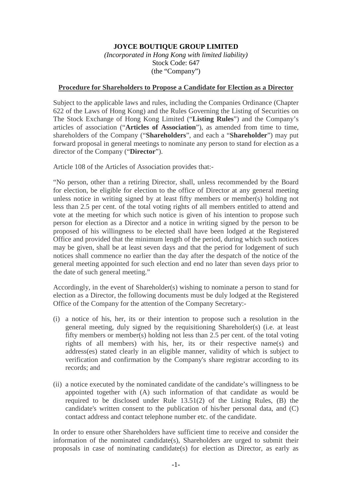## **JOYCE BOUTIQUE GROUP LIMITED**

*(Incorporated in Hong Kong with limited liability)* Stock Code: 647 (the "Company")

## **Procedure for Shareholders to Propose a Candidate for Election as a Director**

Subject to the applicable laws and rules, including the Companies Ordinance (Chapter 622 of the Laws of Hong Kong) and the Rules Governing the Listing of Securities on The Stock Exchange of Hong Kong Limited ("**Listing Rules**") and the Company's articles of association ("**Articles of Association**"), as amended from time to time, shareholders of the Company ("**Shareholders**", and each a "**Shareholder**") may put forward proposal in general meetings to nominate any person to stand for election as a director of the Company ("**Director**").

Article 108 of the Articles of Association provides that:-

"No person, other than a retiring Director, shall, unless recommended by the Board for election, be eligible for election to the office of Director at any general meeting unless notice in writing signed by at least fifty members or member(s) holding not less than 2.5 per cent. of the total voting rights of all members entitled to attend and vote at the meeting for which such notice is given of his intention to propose such person for election as a Director and a notice in writing signed by the person to be proposed of his willingness to be elected shall have been lodged at the Registered Office and provided that the minimum length of the period, during which such notices may be given, shall be at least seven days and that the period for lodgement of such notices shall commence no earlier than the day after the despatch of the notice of the general meeting appointed for such election and end no later than seven days prior to the date of such general meeting."

Accordingly, in the event of Shareholder(s) wishing to nominate a person to stand for election as a Director, the following documents must be duly lodged at the Registered Office of the Company for the attention of the Company Secretary:-

- (i) a notice of his, her, its or their intention to propose such a resolution in the general meeting, duly signed by the requisitioning Shareholder(s) (i.e. at least fifty members or member(s) holding not less than 2.5 per cent. of the total voting rights of all members) with his, her, its or their respective name(s) and address(es) stated clearly in an eligible manner, validity of which is subject to verification and confirmation by the Company's share registrar according to its records; and
- (ii) a notice executed by the nominated candidate of the candidate's willingness to be appointed together with (A) such information of that candidate as would be required to be disclosed under Rule 13.51(2) of the Listing Rules, (B) the candidate's written consent to the publication of his/her personal data, and (C) contact address and contact telephone number etc. of the candidate.

In order to ensure other Shareholders have sufficient time to receive and consider the information of the nominated candidate(s), Shareholders are urged to submit their proposals in case of nominating candidate(s) for election as Director, as early as